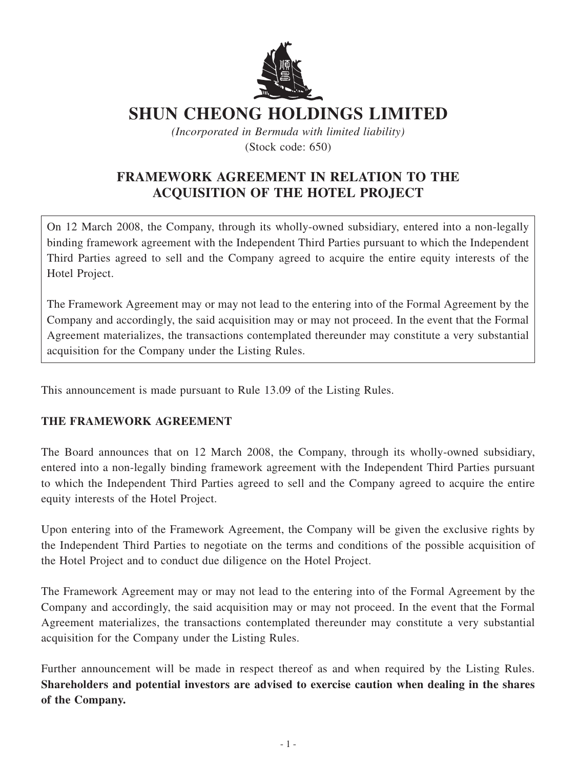

## **SHUN CHEONG HOLDINGS LIMITED**

*(Incorporated in Bermuda with limited liability)* (Stock code: 650)

## **FRAMEWORK AGREEMENT IN RELATION TO THE ACQUISITION OF THE HOTEL PROJECT**

On 12 March 2008, the Company, through its wholly-owned subsidiary, entered into a non-legally binding framework agreement with the Independent Third Parties pursuant to which the Independent Third Parties agreed to sell and the Company agreed to acquire the entire equity interests of the Hotel Project.

The Framework Agreement may or may not lead to the entering into of the Formal Agreement by the Company and accordingly, the said acquisition may or may not proceed. In the event that the Formal Agreement materializes, the transactions contemplated thereunder may constitute a very substantial acquisition for the Company under the Listing Rules.

This announcement is made pursuant to Rule 13.09 of the Listing Rules.

## **The Framework Agreement**

The Board announces that on 12 March 2008, the Company, through its wholly-owned subsidiary, entered into a non-legally binding framework agreement with the Independent Third Parties pursuant to which the Independent Third Parties agreed to sell and the Company agreed to acquire the entire equity interests of the Hotel Project.

Upon entering into of the Framework Agreement, the Company will be given the exclusive rights by the Independent Third Parties to negotiate on the terms and conditions of the possible acquisition of the Hotel Project and to conduct due diligence on the Hotel Project.

The Framework Agreement may or may not lead to the entering into of the Formal Agreement by the Company and accordingly, the said acquisition may or may not proceed. In the event that the Formal Agreement materializes, the transactions contemplated thereunder may constitute a very substantial acquisition for the Company under the Listing Rules.

Further announcement will be made in respect thereof as and when required by the Listing Rules. **Shareholders and potential investors are advised to exercise caution when dealing in the shares of the Company.**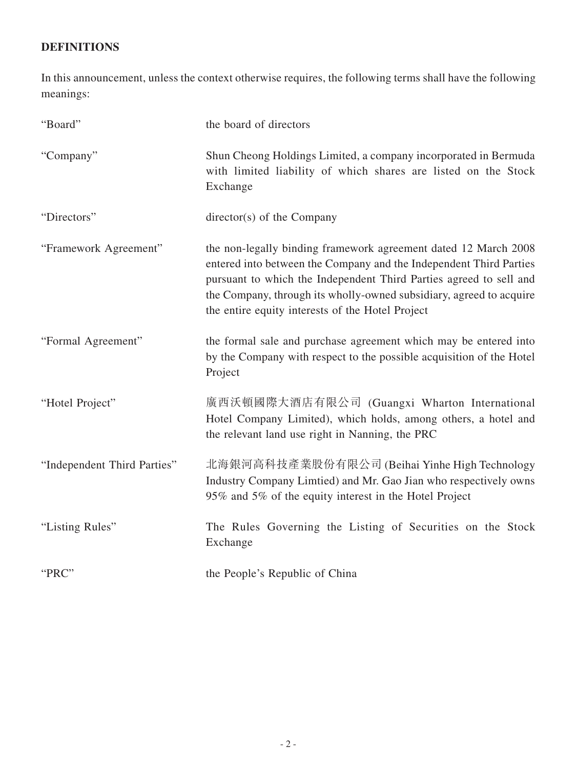## **DEFINITIONS**

In this announcement, unless the context otherwise requires, the following terms shall have the following meanings:

| "Board"                     | the board of directors                                                                                                                                                                                                                                                                                                                 |
|-----------------------------|----------------------------------------------------------------------------------------------------------------------------------------------------------------------------------------------------------------------------------------------------------------------------------------------------------------------------------------|
| "Company"                   | Shun Cheong Holdings Limited, a company incorporated in Bermuda<br>with limited liability of which shares are listed on the Stock<br>Exchange                                                                                                                                                                                          |
| "Directors"                 | director(s) of the Company                                                                                                                                                                                                                                                                                                             |
| "Framework Agreement"       | the non-legally binding framework agreement dated 12 March 2008<br>entered into between the Company and the Independent Third Parties<br>pursuant to which the Independent Third Parties agreed to sell and<br>the Company, through its wholly-owned subsidiary, agreed to acquire<br>the entire equity interests of the Hotel Project |
| "Formal Agreement"          | the formal sale and purchase agreement which may be entered into<br>by the Company with respect to the possible acquisition of the Hotel<br>Project                                                                                                                                                                                    |
| "Hotel Project"             | 廣西沃頓國際大酒店有限公司 (Guangxi Wharton International<br>Hotel Company Limited), which holds, among others, a hotel and<br>the relevant land use right in Nanning, the PRC                                                                                                                                                                      |
| "Independent Third Parties" | 北海銀河高科技產業股份有限公司 (Beihai Yinhe High Technology<br>Industry Company Limtied) and Mr. Gao Jian who respectively owns<br>95% and 5% of the equity interest in the Hotel Project                                                                                                                                                            |
| "Listing Rules"             | The Rules Governing the Listing of Securities on the Stock<br>Exchange                                                                                                                                                                                                                                                                 |
| "PRC"                       | the People's Republic of China                                                                                                                                                                                                                                                                                                         |